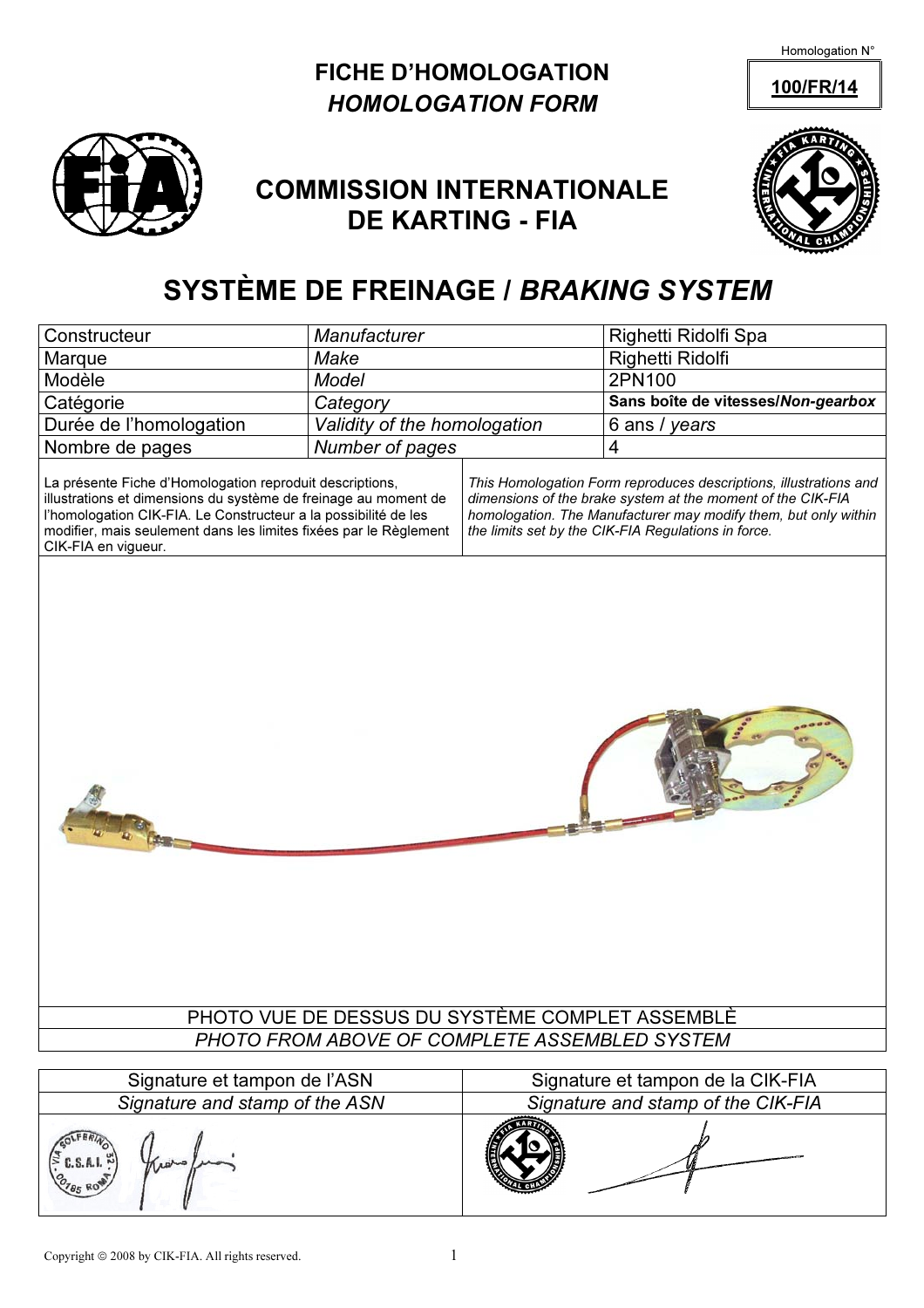### FICHE D'HOMOLOGATION 100/FR/14 HOMOLOGATION FORM



# COMMISSION INTERNATIONALE DE KARTING - FIA



## SYSTÈME DE FREINAGE / BRAKING SYSTEM

| Constructeur                                                                                                                                                                                                                                                                               | Manufacturer                 |                                                                                                                                                                                                                                                            | Righetti Ridolfi Spa               |  |  |  |
|--------------------------------------------------------------------------------------------------------------------------------------------------------------------------------------------------------------------------------------------------------------------------------------------|------------------------------|------------------------------------------------------------------------------------------------------------------------------------------------------------------------------------------------------------------------------------------------------------|------------------------------------|--|--|--|
| Marque                                                                                                                                                                                                                                                                                     | Make                         |                                                                                                                                                                                                                                                            | Righetti Ridolfi                   |  |  |  |
| Modèle                                                                                                                                                                                                                                                                                     | <b>Model</b>                 |                                                                                                                                                                                                                                                            | 2PN100                             |  |  |  |
| Catégorie                                                                                                                                                                                                                                                                                  | Category                     |                                                                                                                                                                                                                                                            | Sans boîte de vitesses/Non-gearbox |  |  |  |
| Durée de l'homologation                                                                                                                                                                                                                                                                    | Validity of the homologation |                                                                                                                                                                                                                                                            | 6 ans / years                      |  |  |  |
| Nombre de pages                                                                                                                                                                                                                                                                            | Number of pages              |                                                                                                                                                                                                                                                            | $\overline{\mathbf{4}}$            |  |  |  |
| La présente Fiche d'Homologation reproduit descriptions,<br>illustrations et dimensions du système de freinage au moment de<br>l'homologation CIK-FIA. Le Constructeur a la possibilité de les<br>modifier, mais seulement dans les limites fixées par le Règlement<br>CIK-FIA en vigueur. |                              | This Homologation Form reproduces descriptions, illustrations and<br>dimensions of the brake system at the moment of the CIK-FIA<br>homologation. The Manufacturer may modify them, but only within<br>the limits set by the CIK-FIA Regulations in force. |                                    |  |  |  |
| PHOTO VUE DE DESSUS DU SYSTÈME COMPLET ASSEMBLÈ                                                                                                                                                                                                                                            |                              |                                                                                                                                                                                                                                                            |                                    |  |  |  |
| PHOTO FROM ABOVE OF COMPLETE ASSEMBLED SYSTEM                                                                                                                                                                                                                                              |                              |                                                                                                                                                                                                                                                            |                                    |  |  |  |
| Signature et tampon de l'ASN                                                                                                                                                                                                                                                               |                              |                                                                                                                                                                                                                                                            | Signature et tampon de la CIK-FIA  |  |  |  |
| Signature and stamp of the ASN                                                                                                                                                                                                                                                             |                              |                                                                                                                                                                                                                                                            | Signature and stamp of the CIK-FIA |  |  |  |

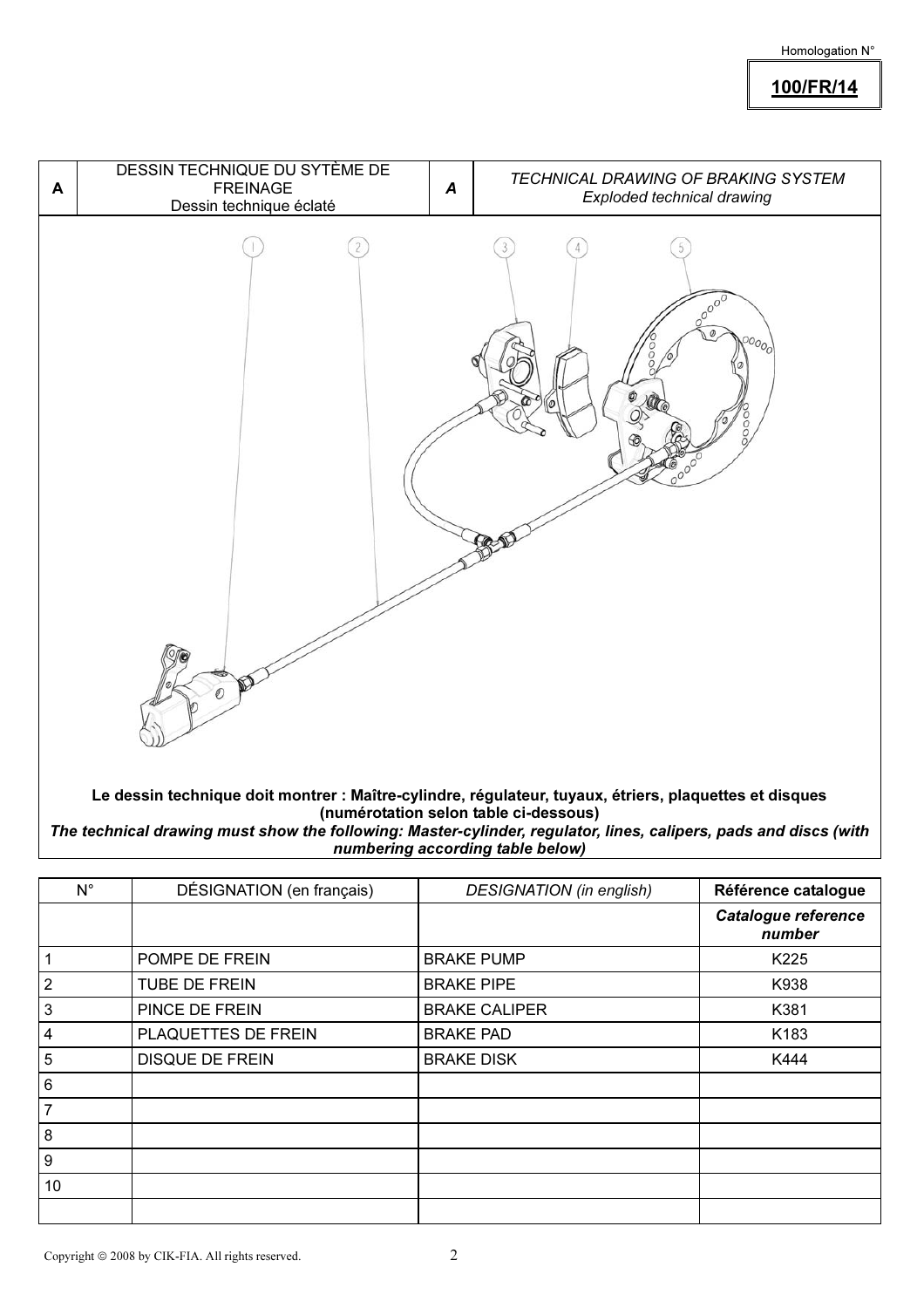100/FR/14



Le dessin technique doit montrer : Maître-cylindre, régulateur, tuyaux, étriers, plaquettes et disques (numérotation selon table ci-dessous)

The technical drawing must show the following: Master-cylinder, regulator, lines, calipers, pads and discs (with numbering according table below)

| $N^{\circ}$    | DÉSIGNATION (en français) | <b>DESIGNATION</b> (in english) | Référence catalogue                  |
|----------------|---------------------------|---------------------------------|--------------------------------------|
|                |                           |                                 | <b>Catalogue reference</b><br>number |
| $\mathbf{1}$   | POMPE DE FREIN            | <b>BRAKE PUMP</b>               | K225                                 |
| $\overline{2}$ | <b>TUBE DE FREIN</b>      | <b>BRAKE PIPE</b>               | K938                                 |
| 3              | PINCE DE FREIN            | <b>BRAKE CALIPER</b>            | K381                                 |
| $\overline{4}$ | PLAQUETTES DE FREIN       | <b>BRAKE PAD</b>                | K183                                 |
| $\sqrt{5}$     | <b>DISQUE DE FREIN</b>    | <b>BRAKE DISK</b>               | K444                                 |
| $\,6\,$        |                           |                                 |                                      |
| $\overline{7}$ |                           |                                 |                                      |
| $\bf 8$        |                           |                                 |                                      |
| 9              |                           |                                 |                                      |
| 10             |                           |                                 |                                      |
|                |                           |                                 |                                      |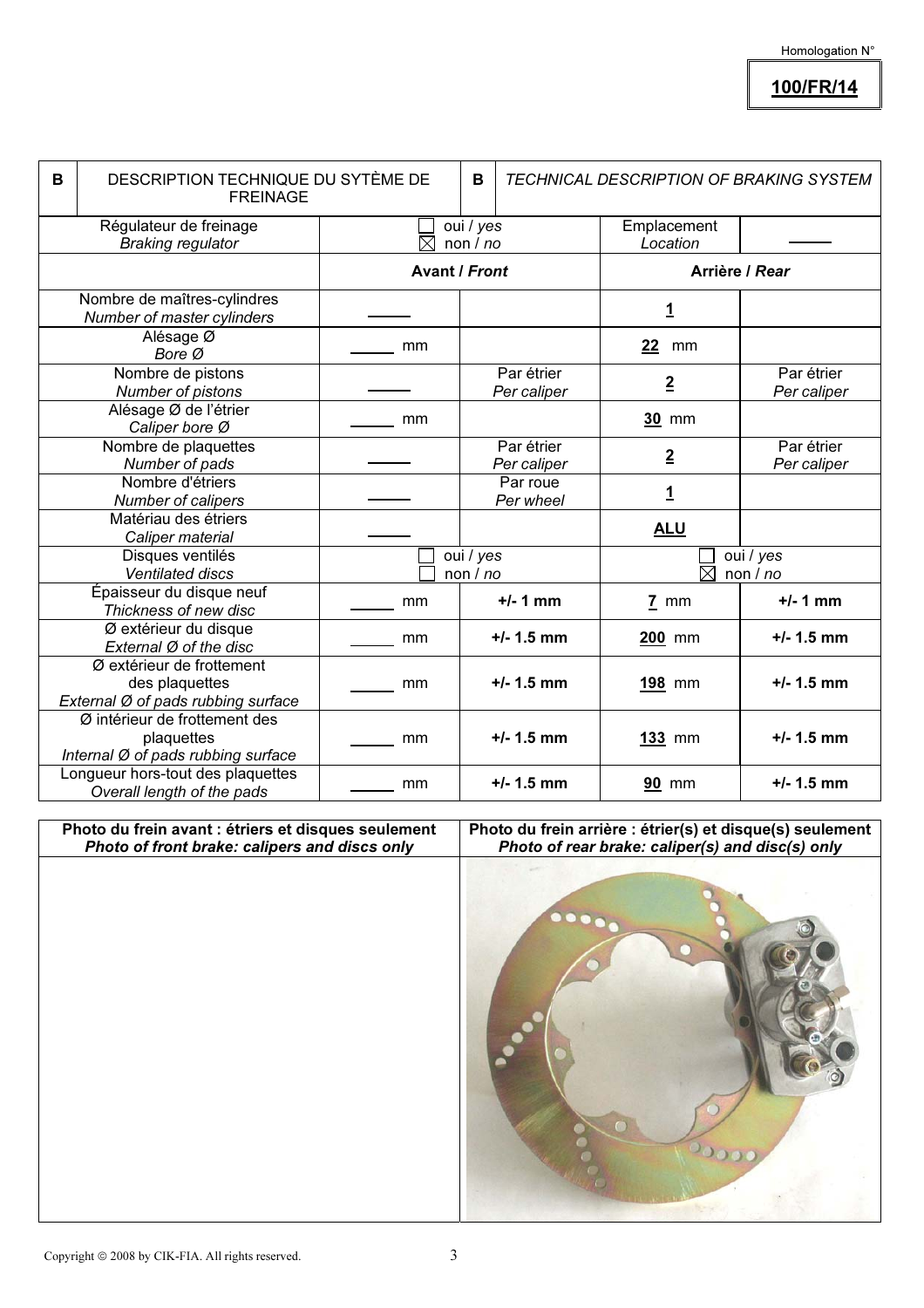100/FR/14

| B                                                  | DESCRIPTION TECHNIQUE DU SYTÈME DE<br><b>FREINAGE</b>                             |                         |                      |                              | <b>TECHNICAL DESCRIPTION OF BRAKING SYSTEM</b> |                           |
|----------------------------------------------------|-----------------------------------------------------------------------------------|-------------------------|----------------------|------------------------------|------------------------------------------------|---------------------------|
| Régulateur de freinage<br><b>Braking regulator</b> |                                                                                   | oui / yes<br>non/no     |                      | Emplacement<br>Location      |                                                |                           |
|                                                    |                                                                                   |                         | <b>Avant / Front</b> |                              | Arrière / Rear                                 |                           |
|                                                    | Nombre de maîtres-cylindres<br>Number of master cylinders                         |                         |                      |                              | <u>1</u>                                       |                           |
|                                                    | Alésage Ø<br>Bore Ø                                                               | mm                      |                      |                              | 22<br>mm                                       |                           |
|                                                    | Nombre de pistons<br>Number of pistons                                            |                         |                      | Par étrier<br>Per caliper    | $\overline{2}$                                 | Par étrier<br>Per caliper |
|                                                    | Alésage Ø de l'étrier<br>Caliper bore Ø                                           | mm                      |                      |                              | 30 mm                                          |                           |
|                                                    | Nombre de plaquettes<br>Number of pads                                            |                         |                      | Par étrier<br>Per caliper    | $\overline{2}$                                 | Par étrier<br>Per caliper |
|                                                    | Nombre d'étriers<br>Number of calipers                                            |                         |                      | Par roue<br>Per wheel        | <u>1</u>                                       |                           |
|                                                    | Matériau des étriers<br>Caliper material                                          |                         |                      |                              | <b>ALU</b>                                     |                           |
|                                                    | Disques ventilés<br><b>Ventilated discs</b>                                       | oui / yes<br>non $/$ no |                      | oui / yes<br>岗<br>non $/$ no |                                                |                           |
|                                                    | Épaisseur du disque neuf<br>Thickness of new disc                                 | mm                      |                      | $+/- 1$ mm                   | $7 \text{ mm}$                                 | $+/- 1$ mm                |
|                                                    | Ø extérieur du disque<br>External Ø of the disc                                   | mm                      |                      | $+/- 1.5$ mm                 | $200$ mm                                       | $+/- 1.5$ mm              |
|                                                    | Ø extérieur de frottement<br>des plaquettes<br>External Ø of pads rubbing surface | mm                      |                      | $+/- 1.5$ mm                 | 198 mm                                         | $+/- 1.5$ mm              |
|                                                    | Ø intérieur de frottement des<br>plaquettes<br>Internal Ø of pads rubbing surface | mm                      |                      | $+/- 1.5$ mm                 | $133$ mm                                       | $+/- 1.5$ mm              |
|                                                    | Longueur hors-tout des plaquettes<br>Overall length of the pads                   | mm                      |                      | $+/- 1.5$ mm                 | <b>90 mm</b>                                   | $+/- 1.5$ mm              |

Photo du frein avant : étriers et disques seulement Photo of front brake: calipers and discs only

Photo du frein arrière : étrier(s) et disque(s) seulement Photo of rear brake: caliper(s) and disc(s) only

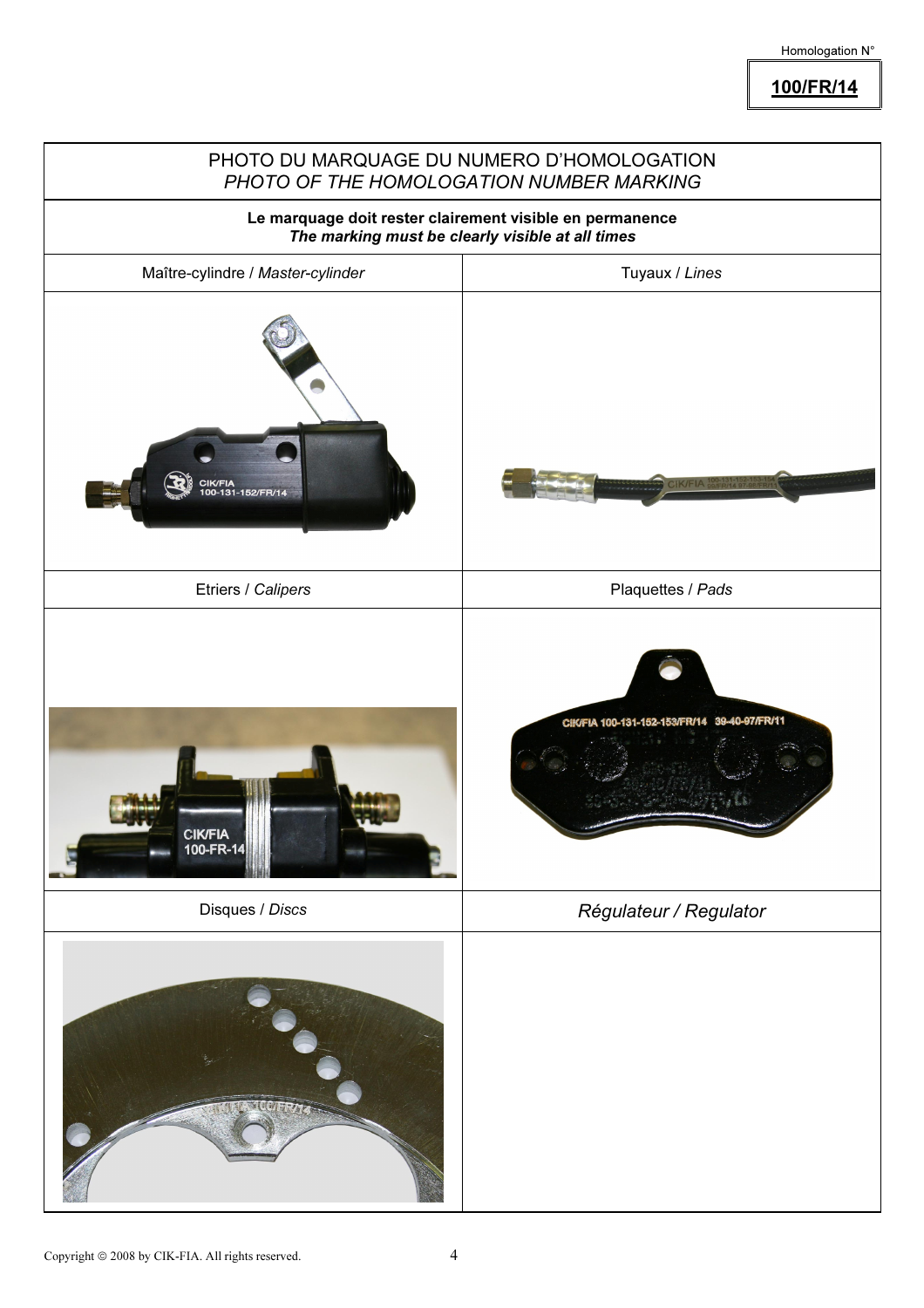100/FR/14

|                                                                                                              | PHOTO DU MARQUAGE DU NUMERO D'HOMOLOGATION<br>PHOTO OF THE HOMOLOGATION NUMBER MARKING |  |  |  |
|--------------------------------------------------------------------------------------------------------------|----------------------------------------------------------------------------------------|--|--|--|
| Le marquage doit rester clairement visible en permanence<br>The marking must be clearly visible at all times |                                                                                        |  |  |  |
| Maître-cylindre / Master-cylinder                                                                            | Tuyaux / Lines                                                                         |  |  |  |
| CIK/FIA<br>100-131-152/FR/14                                                                                 | $C$ K/FIA $_{SB/FR/14}^{100-131-}$                                                     |  |  |  |
| Etriers / Calipers                                                                                           | Plaquettes / Pads                                                                      |  |  |  |
| <b>CIK/FIA</b><br>100-FR-14                                                                                  | 39-40-97/FR/11<br>CIK/FIA 100-131-152-153/FR/14                                        |  |  |  |
| Disques / Discs                                                                                              | Régulateur / Regulator                                                                 |  |  |  |
|                                                                                                              |                                                                                        |  |  |  |